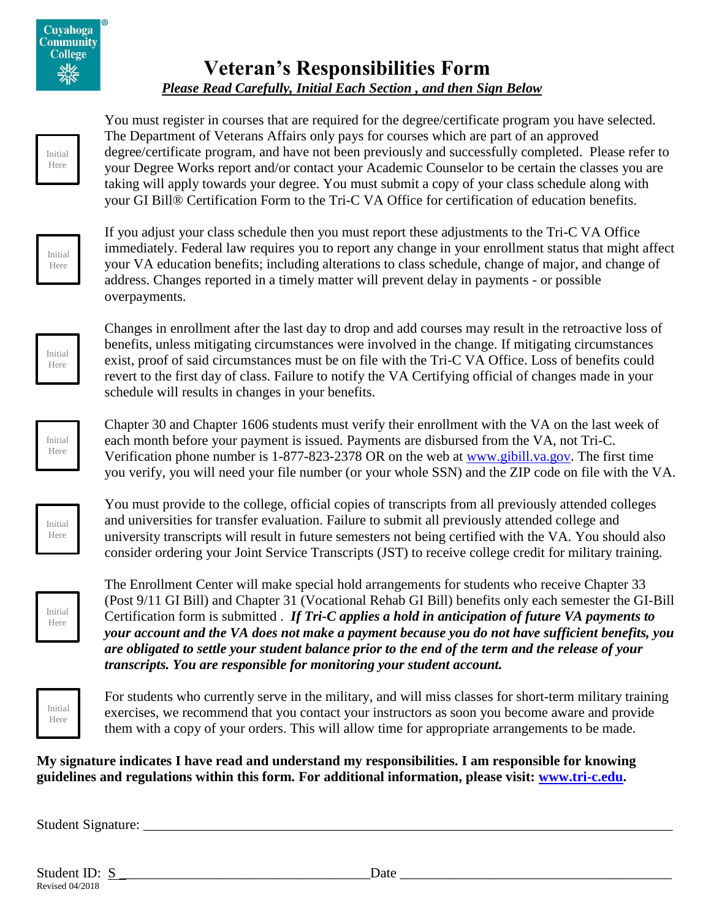# **Veteran's Responsibilities Form** *Please Read Carefully, Initial Each Section , and then Sign Below*

You must register in courses that are required for the degree/certificate program you have selected. The Department of Veterans Affairs only pays for courses which are part of an approved degree/certificate program, and have not been previously and successfully completed. Please refer to your Degree Works report and/or contact your Academic Counselor to be certain the classes you are taking will apply towards your degree. You must submit a copy of your class schedule along with your GI Bill® Certification Form to the Tri-C VA Office for certification of education benefits.

Initial Here

Initial Here

> If you adjust your class schedule then you must report these adjustments to the Tri-C VA Office immediately. Federal law requires you to report any change in your enrollment status that might affect your VA education benefits; including alterations to class schedule, change of major, and change of address. Changes reported in a timely matter will prevent delay in payments - or possible overpayments.



Initial Here

Changes in enrollment after the last day to drop and add courses may result in the retroactive loss of benefits, unless mitigating circumstances were involved in the change. If mitigating circumstances exist, proof of said circumstances must be on file with the Tri-C VA Office. Loss of benefits could revert to the first day of class. Failure to notify the VA Certifying official of changes made in your schedule will results in changes in your benefits.

Chapter 30 and Chapter 1606 students must verify their enrollment with the VA on the last week of each month before your payment is issued. Payments are disbursed from the VA, not Tri-C. Verification phone number is 1-877-823-2378 OR on the web at [www.gibill.va.gov.](http://www.gibill.va.gov/) The first time you verify, you will need your file number (or your whole SSN) and the ZIP code on file with the VA.

Initial Here

You must provide to the college, official copies of transcripts from all previously attended colleges and universities for transfer evaluation. Failure to submit all previously attended college and university transcripts will result in future semesters not being certified with the VA. You should also consider ordering your Joint Service Transcripts (JST) to receive college credit for military training.



The Enrollment Center will make special hold arrangements for students who receive Chapter 33 (Post 9/11 GI Bill) and Chapter 31 (Vocational Rehab GI Bill) benefits only each semester the GI-Bill Certification form is submitted . *If Tri-C applies a hold in anticipation of future VA payments to your account and the VA does not make a payment because you do not have sufficient benefits, you are obligated to settle your student balance prior to the end of the term and the release of your transcripts. You are responsible for monitoring your student account.*

Initial Here

For students who currently serve in the military, and will miss classes for short-term military training exercises, we recommend that you contact your instructors as soon you become aware and provide them with a copy of your orders. This will allow time for appropriate arrangements to be made.

## **My signature indicates I have read and understand my responsibilities. I am responsible for knowing guidelines and regulations within this form. For additional information, please visit: [www.tri-c.edu.](http://www.tri-c.edu/)**

Student Signature: